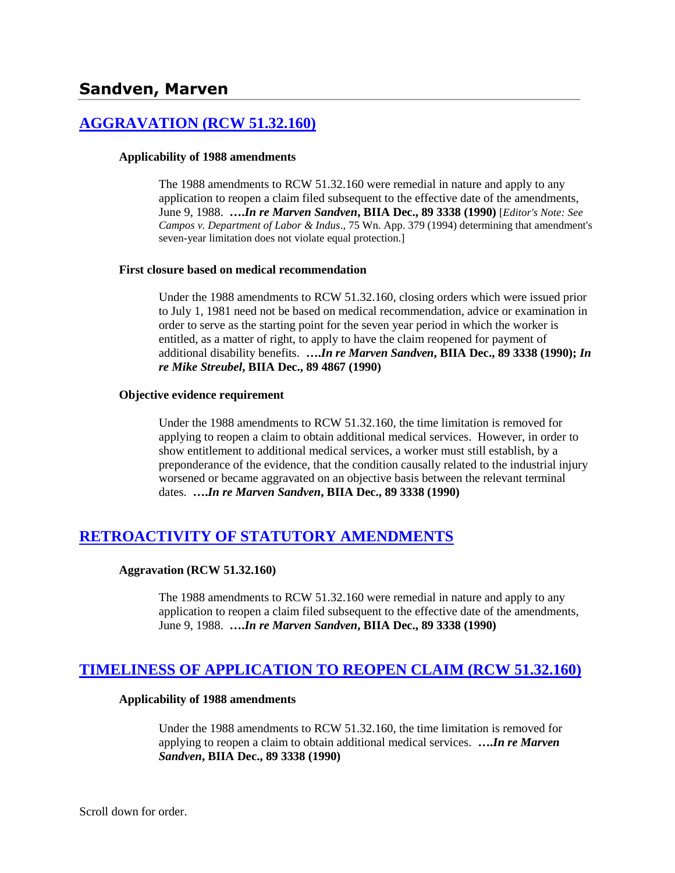# **[AGGRAVATION \(RCW 51.32.160\)](http://www.biia.wa.gov/SDSubjectIndex.html#AGGRAVATION)**

### **Applicability of 1988 amendments**

The 1988 amendments to RCW 51.32.160 were remedial in nature and apply to any application to reopen a claim filed subsequent to the effective date of the amendments, June 9, 1988. **….***In re Marven Sandven***, BIIA Dec., 89 3338 (1990)** [*Editor's Note: See Campos v. Department of Labor & Indus*., 75 Wn. App. 379 (1994) determining that amendment's seven-year limitation does not violate equal protection.]

### **First closure based on medical recommendation**

Under the 1988 amendments to RCW 51.32.160, closing orders which were issued prior to July 1, 1981 need not be based on medical recommendation, advice or examination in order to serve as the starting point for the seven year period in which the worker is entitled, as a matter of right, to apply to have the claim reopened for payment of additional disability benefits. **….***In re Marven Sandven***, BIIA Dec., 89 3338 (1990);** *In re Mike Streubel***, BIIA Dec., 89 4867 (1990)**

### **Objective evidence requirement**

Under the 1988 amendments to RCW 51.32.160, the time limitation is removed for applying to reopen a claim to obtain additional medical services. However, in order to show entitlement to additional medical services, a worker must still establish, by a preponderance of the evidence, that the condition causally related to the industrial injury worsened or became aggravated on an objective basis between the relevant terminal dates. **….***In re Marven Sandven***, BIIA Dec., 89 3338 (1990)** 

# **[RETROACTIVITY OF STATUTORY AMENDMENTS](http://www.biia.wa.gov/SDSubjectIndex.html#RETROACTIVITY_OF_STATUTORY_AMENDMENTS)**

## **Aggravation (RCW 51.32.160)**

The 1988 amendments to RCW 51.32.160 were remedial in nature and apply to any application to reopen a claim filed subsequent to the effective date of the amendments, June 9, 1988. **….***In re Marven Sandven***, BIIA Dec., 89 3338 (1990)** 

# **[TIMELINESS OF APPLICATION TO REOPEN CLAIM \(RCW 51.32.160\)](http://www.biia.wa.gov/SDSubjectIndex.html#TIMELINESS_OF_APPLICATION_TO_REOPEN_CLAIM)**

## **Applicability of 1988 amendments**

Under the 1988 amendments to RCW 51.32.160, the time limitation is removed for applying to reopen a claim to obtain additional medical services. **….***In re Marven Sandven***, BIIA Dec., 89 3338 (1990)**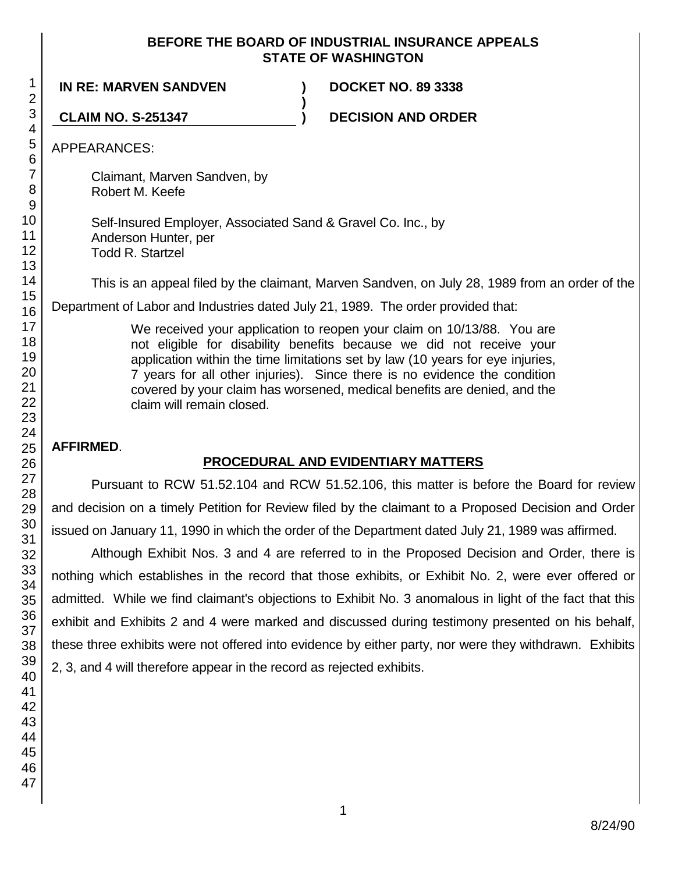## **BEFORE THE BOARD OF INDUSTRIAL INSURANCE APPEALS STATE OF WASHINGTON**

**)**

**IN RE: MARVEN SANDVEN ) DOCKET NO. 89 3338**

**CLAIM NO. S-251347 ) DECISION AND ORDER**

APPEARANCES:

Claimant, Marven Sandven, by Robert M. Keefe

Self-Insured Employer, Associated Sand & Gravel Co. Inc., by Anderson Hunter, per Todd R. Startzel

This is an appeal filed by the claimant, Marven Sandven, on July 28, 1989 from an order of the

Department of Labor and Industries dated July 21, 1989. The order provided that:

We received your application to reopen your claim on 10/13/88. You are not eligible for disability benefits because we did not receive your application within the time limitations set by law (10 years for eye injuries, 7 years for all other injuries). Since there is no evidence the condition covered by your claim has worsened, medical benefits are denied, and the claim will remain closed.

# **AFFIRMED**.

# **PROCEDURAL AND EVIDENTIARY MATTERS**

Pursuant to RCW 51.52.104 and RCW 51.52.106, this matter is before the Board for review and decision on a timely Petition for Review filed by the claimant to a Proposed Decision and Order issued on January 11, 1990 in which the order of the Department dated July 21, 1989 was affirmed.

Although Exhibit Nos. 3 and 4 are referred to in the Proposed Decision and Order, there is nothing which establishes in the record that those exhibits, or Exhibit No. 2, were ever offered or admitted. While we find claimant's objections to Exhibit No. 3 anomalous in light of the fact that this exhibit and Exhibits 2 and 4 were marked and discussed during testimony presented on his behalf, these three exhibits were not offered into evidence by either party, nor were they withdrawn. Exhibits 2, 3, and 4 will therefore appear in the record as rejected exhibits.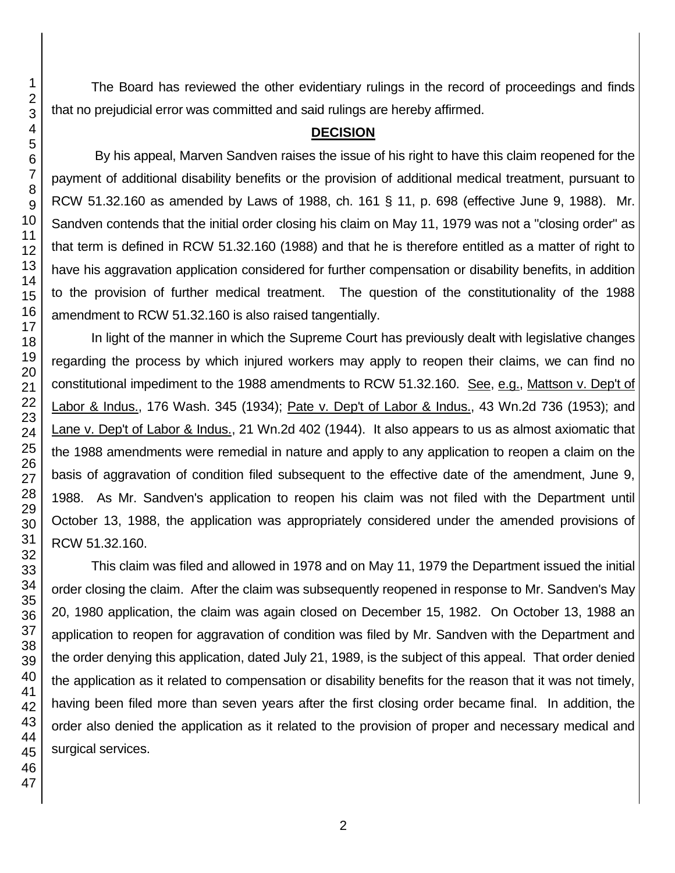The Board has reviewed the other evidentiary rulings in the record of proceedings and finds that no prejudicial error was committed and said rulings are hereby affirmed.

## **DECISION**

By his appeal, Marven Sandven raises the issue of his right to have this claim reopened for the payment of additional disability benefits or the provision of additional medical treatment, pursuant to RCW 51.32.160 as amended by Laws of 1988, ch. 161 § 11, p. 698 (effective June 9, 1988). Mr. Sandven contends that the initial order closing his claim on May 11, 1979 was not a "closing order" as that term is defined in RCW 51.32.160 (1988) and that he is therefore entitled as a matter of right to have his aggravation application considered for further compensation or disability benefits, in addition to the provision of further medical treatment. The question of the constitutionality of the 1988 amendment to RCW 51.32.160 is also raised tangentially.

In light of the manner in which the Supreme Court has previously dealt with legislative changes regarding the process by which injured workers may apply to reopen their claims, we can find no constitutional impediment to the 1988 amendments to RCW 51.32.160. See, e.g., Mattson v. Dep't of Labor & Indus., 176 Wash. 345 (1934); Pate v. Dep't of Labor & Indus., 43 Wn.2d 736 (1953); and Lane v. Dep't of Labor & Indus., 21 Wn.2d 402 (1944). It also appears to us as almost axiomatic that the 1988 amendments were remedial in nature and apply to any application to reopen a claim on the basis of aggravation of condition filed subsequent to the effective date of the amendment, June 9, 1988. As Mr. Sandven's application to reopen his claim was not filed with the Department until October 13, 1988, the application was appropriately considered under the amended provisions of RCW 51.32.160.

This claim was filed and allowed in 1978 and on May 11, 1979 the Department issued the initial order closing the claim. After the claim was subsequently reopened in response to Mr. Sandven's May 20, 1980 application, the claim was again closed on December 15, 1982. On October 13, 1988 an application to reopen for aggravation of condition was filed by Mr. Sandven with the Department and the order denying this application, dated July 21, 1989, is the subject of this appeal. That order denied the application as it related to compensation or disability benefits for the reason that it was not timely, having been filed more than seven years after the first closing order became final. In addition, the order also denied the application as it related to the provision of proper and necessary medical and surgical services.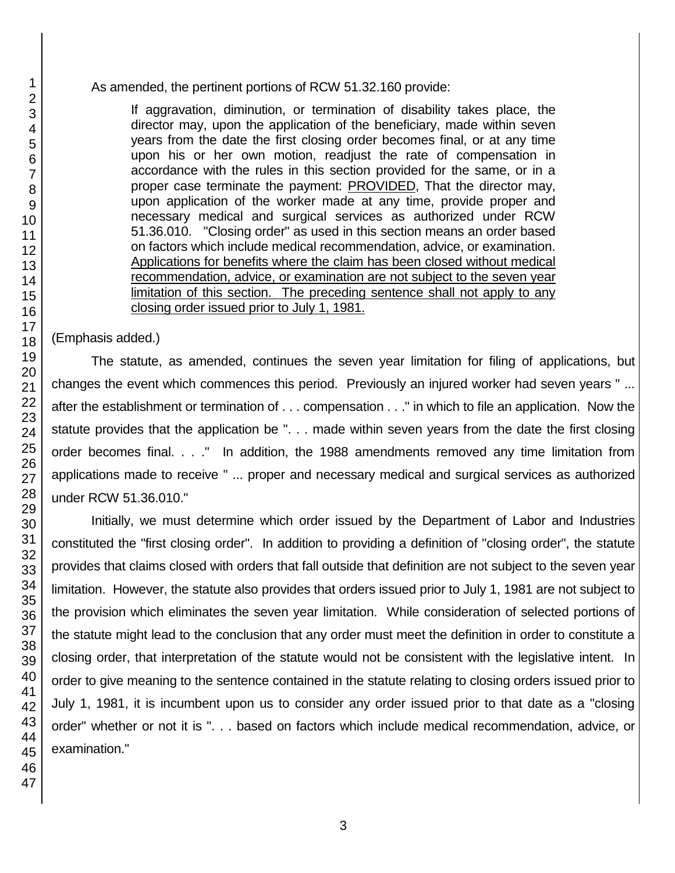As amended, the pertinent portions of RCW 51.32.160 provide:

If aggravation, diminution, or termination of disability takes place, the director may, upon the application of the beneficiary, made within seven years from the date the first closing order becomes final, or at any time upon his or her own motion, readjust the rate of compensation in accordance with the rules in this section provided for the same, or in a proper case terminate the payment: PROVIDED, That the director may, upon application of the worker made at any time, provide proper and necessary medical and surgical services as authorized under RCW 51.36.010. "Closing order" as used in this section means an order based on factors which include medical recommendation, advice, or examination. Applications for benefits where the claim has been closed without medical recommendation, advice, or examination are not subject to the seven year limitation of this section. The preceding sentence shall not apply to any closing order issued prior to July 1, 1981.

(Emphasis added.)

The statute, as amended, continues the seven year limitation for filing of applications, but changes the event which commences this period. Previously an injured worker had seven years " ... after the establishment or termination of . . . compensation . . ." in which to file an application. Now the statute provides that the application be ". . . made within seven years from the date the first closing order becomes final. . . ." In addition, the 1988 amendments removed any time limitation from applications made to receive " ... proper and necessary medical and surgical services as authorized under RCW 51.36.010."

Initially, we must determine which order issued by the Department of Labor and Industries constituted the "first closing order". In addition to providing a definition of "closing order", the statute provides that claims closed with orders that fall outside that definition are not subject to the seven year limitation. However, the statute also provides that orders issued prior to July 1, 1981 are not subject to the provision which eliminates the seven year limitation. While consideration of selected portions of the statute might lead to the conclusion that any order must meet the definition in order to constitute a closing order, that interpretation of the statute would not be consistent with the legislative intent. In order to give meaning to the sentence contained in the statute relating to closing orders issued prior to July 1, 1981, it is incumbent upon us to consider any order issued prior to that date as a "closing order" whether or not it is ". . . based on factors which include medical recommendation, advice, or examination."

1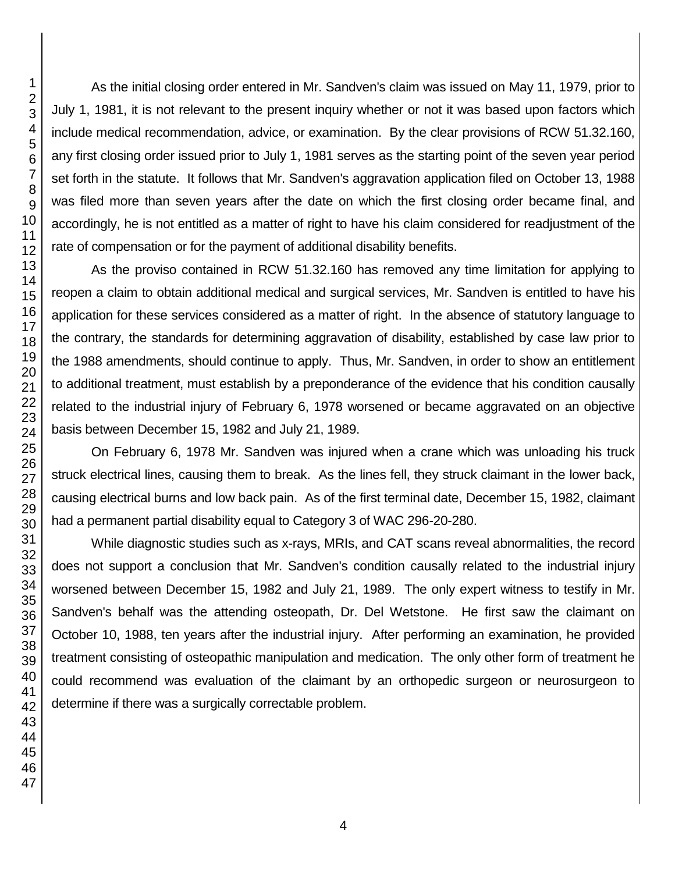As the initial closing order entered in Mr. Sandven's claim was issued on May 11, 1979, prior to July 1, 1981, it is not relevant to the present inquiry whether or not it was based upon factors which include medical recommendation, advice, or examination. By the clear provisions of RCW 51.32.160, any first closing order issued prior to July 1, 1981 serves as the starting point of the seven year period set forth in the statute. It follows that Mr. Sandven's aggravation application filed on October 13, 1988 was filed more than seven years after the date on which the first closing order became final, and accordingly, he is not entitled as a matter of right to have his claim considered for readjustment of the rate of compensation or for the payment of additional disability benefits.

As the proviso contained in RCW 51.32.160 has removed any time limitation for applying to reopen a claim to obtain additional medical and surgical services, Mr. Sandven is entitled to have his application for these services considered as a matter of right. In the absence of statutory language to the contrary, the standards for determining aggravation of disability, established by case law prior to the 1988 amendments, should continue to apply. Thus, Mr. Sandven, in order to show an entitlement to additional treatment, must establish by a preponderance of the evidence that his condition causally related to the industrial injury of February 6, 1978 worsened or became aggravated on an objective basis between December 15, 1982 and July 21, 1989.

On February 6, 1978 Mr. Sandven was injured when a crane which was unloading his truck struck electrical lines, causing them to break. As the lines fell, they struck claimant in the lower back, causing electrical burns and low back pain. As of the first terminal date, December 15, 1982, claimant had a permanent partial disability equal to Category 3 of WAC 296-20-280.

While diagnostic studies such as x-rays, MRIs, and CAT scans reveal abnormalities, the record does not support a conclusion that Mr. Sandven's condition causally related to the industrial injury worsened between December 15, 1982 and July 21, 1989. The only expert witness to testify in Mr. Sandven's behalf was the attending osteopath, Dr. Del Wetstone. He first saw the claimant on October 10, 1988, ten years after the industrial injury. After performing an examination, he provided treatment consisting of osteopathic manipulation and medication. The only other form of treatment he could recommend was evaluation of the claimant by an orthopedic surgeon or neurosurgeon to determine if there was a surgically correctable problem.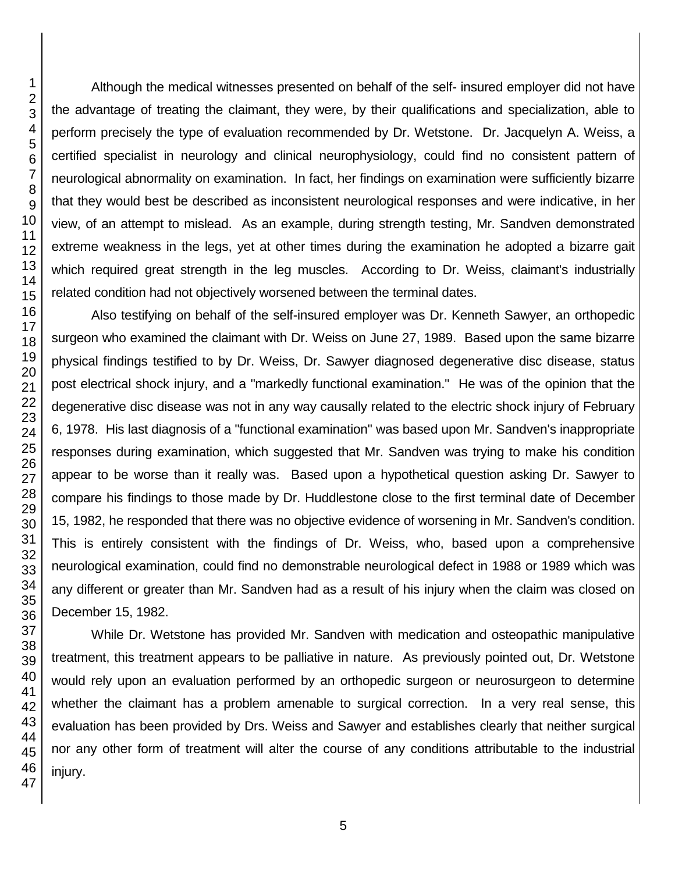Although the medical witnesses presented on behalf of the self- insured employer did not have the advantage of treating the claimant, they were, by their qualifications and specialization, able to perform precisely the type of evaluation recommended by Dr. Wetstone. Dr. Jacquelyn A. Weiss, a certified specialist in neurology and clinical neurophysiology, could find no consistent pattern of neurological abnormality on examination. In fact, her findings on examination were sufficiently bizarre that they would best be described as inconsistent neurological responses and were indicative, in her view, of an attempt to mislead. As an example, during strength testing, Mr. Sandven demonstrated extreme weakness in the legs, yet at other times during the examination he adopted a bizarre gait which required great strength in the leg muscles. According to Dr. Weiss, claimant's industrially related condition had not objectively worsened between the terminal dates.

Also testifying on behalf of the self-insured employer was Dr. Kenneth Sawyer, an orthopedic surgeon who examined the claimant with Dr. Weiss on June 27, 1989. Based upon the same bizarre physical findings testified to by Dr. Weiss, Dr. Sawyer diagnosed degenerative disc disease, status post electrical shock injury, and a "markedly functional examination." He was of the opinion that the degenerative disc disease was not in any way causally related to the electric shock injury of February 6, 1978. His last diagnosis of a "functional examination" was based upon Mr. Sandven's inappropriate responses during examination, which suggested that Mr. Sandven was trying to make his condition appear to be worse than it really was. Based upon a hypothetical question asking Dr. Sawyer to compare his findings to those made by Dr. Huddlestone close to the first terminal date of December 15, 1982, he responded that there was no objective evidence of worsening in Mr. Sandven's condition. This is entirely consistent with the findings of Dr. Weiss, who, based upon a comprehensive neurological examination, could find no demonstrable neurological defect in 1988 or 1989 which was any different or greater than Mr. Sandven had as a result of his injury when the claim was closed on December 15, 1982.

While Dr. Wetstone has provided Mr. Sandven with medication and osteopathic manipulative treatment, this treatment appears to be palliative in nature. As previously pointed out, Dr. Wetstone would rely upon an evaluation performed by an orthopedic surgeon or neurosurgeon to determine whether the claimant has a problem amenable to surgical correction. In a very real sense, this evaluation has been provided by Drs. Weiss and Sawyer and establishes clearly that neither surgical nor any other form of treatment will alter the course of any conditions attributable to the industrial injury.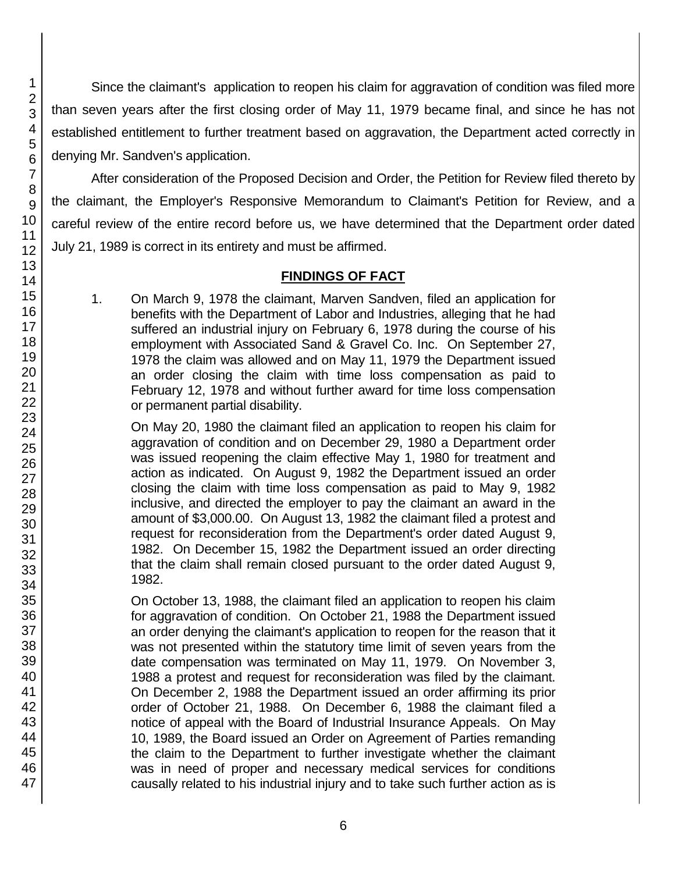Since the claimant's application to reopen his claim for aggravation of condition was filed more than seven years after the first closing order of May 11, 1979 became final, and since he has not established entitlement to further treatment based on aggravation, the Department acted correctly in denying Mr. Sandven's application.

After consideration of the Proposed Decision and Order, the Petition for Review filed thereto by the claimant, the Employer's Responsive Memorandum to Claimant's Petition for Review, and a careful review of the entire record before us, we have determined that the Department order dated July 21, 1989 is correct in its entirety and must be affirmed.

# **FINDINGS OF FACT**

1. On March 9, 1978 the claimant, Marven Sandven, filed an application for benefits with the Department of Labor and Industries, alleging that he had suffered an industrial injury on February 6, 1978 during the course of his employment with Associated Sand & Gravel Co. Inc. On September 27, 1978 the claim was allowed and on May 11, 1979 the Department issued an order closing the claim with time loss compensation as paid to February 12, 1978 and without further award for time loss compensation or permanent partial disability.

On May 20, 1980 the claimant filed an application to reopen his claim for aggravation of condition and on December 29, 1980 a Department order was issued reopening the claim effective May 1, 1980 for treatment and action as indicated. On August 9, 1982 the Department issued an order closing the claim with time loss compensation as paid to May 9, 1982 inclusive, and directed the employer to pay the claimant an award in the amount of \$3,000.00. On August 13, 1982 the claimant filed a protest and request for reconsideration from the Department's order dated August 9, 1982. On December 15, 1982 the Department issued an order directing that the claim shall remain closed pursuant to the order dated August 9, 1982.

On October 13, 1988, the claimant filed an application to reopen his claim for aggravation of condition. On October 21, 1988 the Department issued an order denying the claimant's application to reopen for the reason that it was not presented within the statutory time limit of seven years from the date compensation was terminated on May 11, 1979. On November 3, 1988 a protest and request for reconsideration was filed by the claimant. On December 2, 1988 the Department issued an order affirming its prior order of October 21, 1988. On December 6, 1988 the claimant filed a notice of appeal with the Board of Industrial Insurance Appeals. On May 10, 1989, the Board issued an Order on Agreement of Parties remanding the claim to the Department to further investigate whether the claimant was in need of proper and necessary medical services for conditions causally related to his industrial injury and to take such further action as is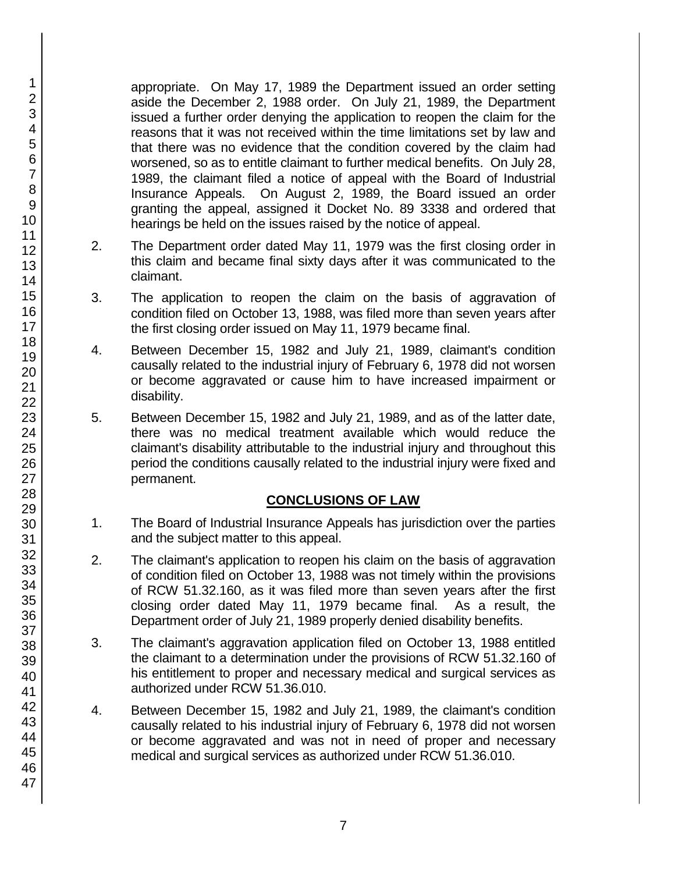appropriate. On May 17, 1989 the Department issued an order setting aside the December 2, 1988 order. On July 21, 1989, the Department issued a further order denying the application to reopen the claim for the reasons that it was not received within the time limitations set by law and that there was no evidence that the condition covered by the claim had worsened, so as to entitle claimant to further medical benefits. On July 28, 1989, the claimant filed a notice of appeal with the Board of Industrial Insurance Appeals. On August 2, 1989, the Board issued an order granting the appeal, assigned it Docket No. 89 3338 and ordered that hearings be held on the issues raised by the notice of appeal.

- 2. The Department order dated May 11, 1979 was the first closing order in this claim and became final sixty days after it was communicated to the claimant.
- 3. The application to reopen the claim on the basis of aggravation of condition filed on October 13, 1988, was filed more than seven years after the first closing order issued on May 11, 1979 became final.
- 4. Between December 15, 1982 and July 21, 1989, claimant's condition causally related to the industrial injury of February 6, 1978 did not worsen or become aggravated or cause him to have increased impairment or disability.
- 5. Between December 15, 1982 and July 21, 1989, and as of the latter date, there was no medical treatment available which would reduce the claimant's disability attributable to the industrial injury and throughout this period the conditions causally related to the industrial injury were fixed and permanent.

# **CONCLUSIONS OF LAW**

- 1. The Board of Industrial Insurance Appeals has jurisdiction over the parties and the subject matter to this appeal.
- 2. The claimant's application to reopen his claim on the basis of aggravation of condition filed on October 13, 1988 was not timely within the provisions of RCW 51.32.160, as it was filed more than seven years after the first closing order dated May 11, 1979 became final. As a result, the Department order of July 21, 1989 properly denied disability benefits.
- 3. The claimant's aggravation application filed on October 13, 1988 entitled the claimant to a determination under the provisions of RCW 51.32.160 of his entitlement to proper and necessary medical and surgical services as authorized under RCW 51.36.010.
- 4. Between December 15, 1982 and July 21, 1989, the claimant's condition causally related to his industrial injury of February 6, 1978 did not worsen or become aggravated and was not in need of proper and necessary medical and surgical services as authorized under RCW 51.36.010.